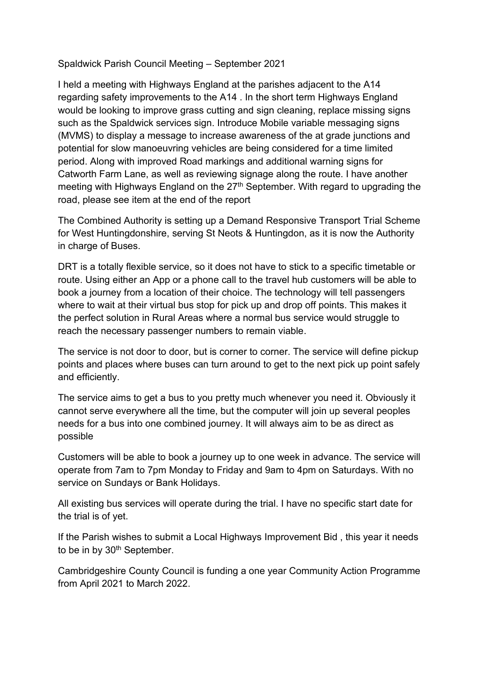## Spaldwick Parish Council Meeting – September 2021

I held a meeting with Highways England at the parishes adjacent to the A14 regarding safety improvements to the A14 . In the short term Highways England would be looking to improve grass cutting and sign cleaning, replace missing signs such as the Spaldwick services sign. Introduce Mobile variable messaging signs (MVMS) to display a message to increase awareness of the at grade junctions and potential for slow manoeuvring vehicles are being considered for a time limited period. Along with improved Road markings and additional warning signs for Catworth Farm Lane, as well as reviewing signage along the route. I have another meeting with Highways England on the 27<sup>th</sup> September. With regard to upgrading the road, please see item at the end of the report

The Combined Authority is setting up a Demand Responsive Transport Trial Scheme for West Huntingdonshire, serving St Neots & Huntingdon, as it is now the Authority in charge of Buses.

DRT is a totally flexible service, so it does not have to stick to a specific timetable or route. Using either an App or a phone call to the travel hub customers will be able to book a journey from a location of their choice. The technology will tell passengers where to wait at their virtual bus stop for pick up and drop off points. This makes it the perfect solution in Rural Areas where a normal bus service would struggle to reach the necessary passenger numbers to remain viable.

The service is not door to door, but is corner to corner. The service will define pickup points and places where buses can turn around to get to the next pick up point safely and efficiently.

The service aims to get a bus to you pretty much whenever you need it. Obviously it cannot serve everywhere all the time, but the computer will join up several peoples needs for a bus into one combined journey. It will always aim to be as direct as possible

Customers will be able to book a journey up to one week in advance. The service will operate from 7am to 7pm Monday to Friday and 9am to 4pm on Saturdays. With no service on Sundays or Bank Holidays.

All existing bus services will operate during the trial. I have no specific start date for the trial is of yet.

If the Parish wishes to submit a Local Highways Improvement Bid , this year it needs to be in by 30<sup>th</sup> September.

Cambridgeshire County Council is funding a one year Community Action Programme from April 2021 to March 2022.